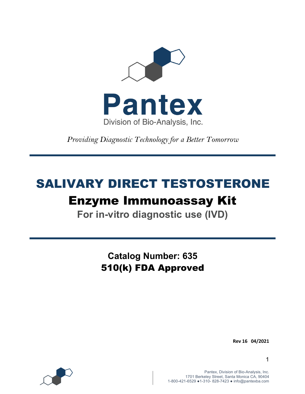

*Providing Diagnostic Technology for a Better Tomorrow* 

# SALIVARY DIRECT TESTOSTERONE Enzyme Immunoassay Kit

**For in-vitro diagnostic use (IVD)**

**Catalog Number: 635** 510(k) FDA Approved

**Rev 16 04/2021**



Pantex, Division of Bio-Analysis, Inc. 1701 Berkeley Street, Santa Monica CA, 90404 1-800-421-6529 ●1-310- 828-7423 ● info@pantexba.com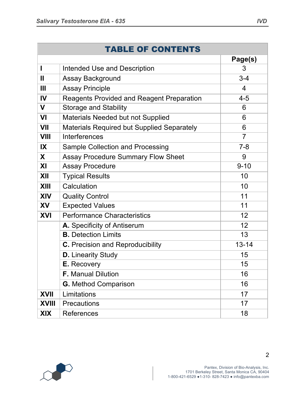| <b>TABLE OF CONTENTS</b> |                                                   |                |  |  |
|--------------------------|---------------------------------------------------|----------------|--|--|
|                          |                                                   | Page(s)        |  |  |
| I                        | Intended Use and Description                      | 3              |  |  |
| $\mathbf{I}$             | Assay Background                                  | $3 - 4$        |  |  |
| Ш                        | <b>Assay Principle</b>                            | 4              |  |  |
| IV                       | <b>Reagents Provided and Reagent Preparation</b>  | $4 - 5$        |  |  |
| $\mathbf V$              | <b>Storage and Stability</b>                      | 6              |  |  |
| VI                       | Materials Needed but not Supplied                 | 6              |  |  |
| <b>VII</b>               | <b>Materials Required but Supplied Separately</b> | 6              |  |  |
| <b>VIII</b>              | Interferences                                     | $\overline{7}$ |  |  |
| IX                       | Sample Collection and Processing                  | $7 - 8$        |  |  |
| X                        | <b>Assay Procedure Summary Flow Sheet</b>         | 9              |  |  |
| XI                       | <b>Assay Procedure</b>                            | $9 - 10$       |  |  |
| XII                      | <b>Typical Results</b>                            | 10             |  |  |
| <b>XIII</b>              | Calculation                                       | 10             |  |  |
| <b>XIV</b>               | <b>Quality Control</b>                            | 11             |  |  |
| XV                       | <b>Expected Values</b>                            | 11             |  |  |
| <b>XVI</b>               | <b>Performance Characteristics</b>                | 12             |  |  |
|                          | A. Specificity of Antiserum                       | 12             |  |  |
|                          | <b>B.</b> Detection Limits                        | 13             |  |  |
|                          | <b>C.</b> Precision and Reproducibility           | $13 - 14$      |  |  |
|                          | <b>D.</b> Linearity Study                         | 15             |  |  |
|                          | <b>E.</b> Recovery                                | 15             |  |  |
|                          | <b>F.</b> Manual Dilution                         | 16             |  |  |
|                          | <b>G.</b> Method Comparison                       | 16             |  |  |
| <b>XVII</b>              | Limitations                                       | 17             |  |  |
| <b>XVIII</b>             | <b>Precautions</b>                                | 17             |  |  |
| <b>XIX</b>               | <b>References</b>                                 | 18             |  |  |

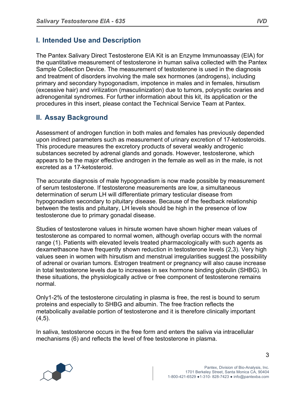## **I. Intended Use and Description**

The Pantex Salivary Direct Testosterone EIA Kit is an Enzyme Immunoassay (EIA) for the quantitative measurement of testosterone in human saliva collected with the Pantex Sample Collection Device. The measurement of testosterone is used in the diagnosis and treatment of disorders involving the male sex hormones (androgens), including primary and secondary hypogonadism, impotence in males and in females, hirsutism (excessive hair) and virilization (masculinization) due to tumors, polycystic ovaries and adrenogenital syndromes. For further information about this kit, its application or the procedures in this insert, please contact the Technical Service Team at Pantex.

# **II. Assay Background**

Assessment of androgen function in both males and females has previously depended upon indirect parameters such as measurement of urinary excretion of 17-ketosteroids. This procedure measures the excretory products of several weakly androgenic substances secreted by adrenal glands and gonads. However, testosterone, which appears to be the major effective androgen in the female as well as in the male, is not excreted as a 17-ketosteroid.

The accurate diagnosis of male hypogonadism is now made possible by measurement of serum testosterone. If testosterone measurements are low, a simultaneous determination of serum LH will differentiate primary testicular disease from hypogonadism secondary to pituitary disease. Because of the feedback relationship between the testis and pituitary, LH levels should be high in the presence of low testosterone due to primary gonadal disease.

Studies of testosterone values in hirsute women have shown higher mean values of testosterone as compared to normal women, although overlap occurs with the normal range (1). Patients with elevated levels treated pharmacologically with such agents as dexamethasone have frequently shown reduction in testosterone levels (2,3). Very high values seen in women with hirsutism and menstrual irregularities suggest the possibility of adrenal or ovarian tumors. Estrogen treatment or pregnancy will also cause increase in total testosterone levels due to increases in sex hormone binding globulin (SHBG). In these situations, the physiologically active or free component of testosterone remains normal.

Only1-2% of the testosterone circulating in plasma is free, the rest is bound to serum proteins and especially to SHBG and albumin. The free fraction reflects the metabolically available portion of testosterone and it is therefore clinically important  $(4,5)$ .

In saliva, testosterone occurs in the free form and enters the saliva via intracellular mechanisms (6) and reflects the level of free testosterone in plasma.

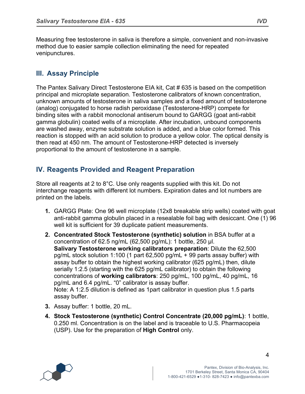Measuring free testosterone in saliva is therefore a simple, convenient and non-invasive method due to easier sample collection eliminating the need for repeated venipunctures.

## **III. Assay Principle**

The Pantex Salivary Direct Testosterone EIA kit, Cat # 635 is based on the competition principal and microplate separation. Testosterone calibrators of known concentration, unknown amounts of testosterone in saliva samples and a fixed amount of testosterone (analog) conjugated to horse radish peroxidase (Testosterone-HRP) compete for binding sites with a rabbit monoclonal antiserum bound to GARGG (goat anti-rabbit gamma globulin) coated wells of a microplate. After incubation, unbound components are washed away, enzyme substrate solution is added, and a blue color formed. This reaction is stopped with an acid solution to produce a yellow color. The optical density is then read at 450 nm. The amount of Testosterone-HRP detected is inversely proportional to the amount of testosterone in a sample.

# **IV. Reagents Provided and Reagent Preparation**

Store all reagents at 2 to 8°C. Use only reagents supplied with this kit. Do not interchange reagents with different lot numbers. Expiration dates and lot numbers are printed on the labels.

- **1.** GARGG Plate: One 96 well microplate (12x8 breakable strip wells) coated with goat anti-rabbit gamma globulin placed in a resealable foil bag with desiccant. One (1) 96 well kit is sufficient for 39 duplicate patient measurements.
- **2. Concentrated Stock Testosterone (synthetic) solution** in BSA buffer at a concentration of 62.5 ng/mL  $(62,500 \text{ pg/mL})$ : 1 bottle, 250 µl. **Salivary Testosterone working calibrators preparation**: Dilute the 62,500 pg/mL stock solution 1:100 (1 part 62,500 pg/mL + 99 parts assay buffer) with assay buffer to obtain the highest working calibrator (625 pg/mL) then, dilute serially 1:2.5 (starting with the 625 pg/mL calibrator) to obtain the following concentrations of **working calibrators**: 250 pg/mL, 100 pg/mL, 40 pg/mL, 16 pg/mL and 6.4 pg/mL. "0" calibrator is assay buffer. Note: A 1:2.5 dilution is defined as 1part calibrator in question plus 1.5 parts assay buffer.
- **3.** Assay buffer: 1 bottle, 20 mL.
- **4. Stock Testosterone (synthetic) Control Concentrate (20,000 pg/mL)**: 1 bottle, 0.250 ml. Concentration is on the label and is traceable to U.S. Pharmacopeia (USP). Use for the preparation of **High Control** only.

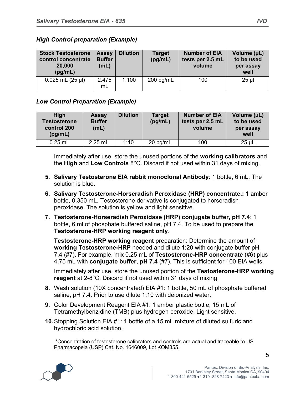| <b>Stock Testosterone</b><br>control concentrate<br>20,000<br>(pg/mL) | <b>Assay</b><br><b>Buffer</b><br>(mL) | <b>Dilution</b> | <b>Target</b><br>(pg/mL) | <b>Number of EIA</b><br>tests per 2.5 mL<br>volume | Volume (µL)<br>to be used<br>per assay<br>well |
|-----------------------------------------------------------------------|---------------------------------------|-----------------|--------------------------|----------------------------------------------------|------------------------------------------------|
| $0.025$ mL $(25 \mu l)$                                               | 2.475<br>mL                           | 1:100           | $200$ pg/mL              | 100                                                | $25$ µl                                        |

### *High Control preparation (Example)*

### *Low Control Preparation (Example)*

| <b>High</b><br><b>Testosterone</b><br>control 200<br>(pg/mL) | <b>Assay</b><br><b>Buffer</b><br>(mL) | <b>Dilution</b> | Target<br>(pg/mL) | <b>Number of EIA</b><br>tests per 2.5 mL<br>volume | Volume (µL)<br>to be used<br>per assay<br>well |
|--------------------------------------------------------------|---------------------------------------|-----------------|-------------------|----------------------------------------------------|------------------------------------------------|
| $0.25$ mL                                                    | $2.25$ mL                             | 1:10            | $20$ pg/mL        | 100                                                | $25 \mu L$                                     |

Immediately after use, store the unused portions of the **working calibrators** and the **High** and **Low Controls** 8°C. Discard if not used within 31 days of mixing.

- **5. Salivary Testosterone EIA rabbit monoclonal Antibody**: 1 bottle, 6 mL. The solution is blue.
- **6. Salivary Testosterone-Horseradish Peroxidase (HRP) concentrate.:** 1 amber bottle, 0.350 mL. Testosterone derivative is conjugated to horseradish peroxidase. The solution is yellow and light sensitive.
- **7. Testosterone-Horseradish Peroxidase (HRP) conjugate buffer, pH 7.4**: 1 bottle, 6 ml of phosphate buffered saline, pH 7.4. To be used to prepare the **Testosterone-HRP working reagent only**.

**Testosterone-HRP working reagent** preparation: Determine the amount of **working Testosterone-HRP** needed and dilute 1:20 with conjugate buffer pH 7.4 (#7). For example, mix 0.25 mL of **Testosterone-HRP concentrate** (#6) plus 4.75 mL with **conjugate buffer, pH 7.4** (#7). This is sufficient for 100 EIA wells.

Immediately after use, store the unused portion of the **Testosterone-HRP working reagent** at 2-8°C. Discard if not used within 31 days of mixing.

- **8.** Wash solution (10X concentrated) EIA #1: 1 bottle, 50 mL of phosphate buffered saline, pH 7.4. Prior to use dilute 1:10 with deionized water.
- **9.** Color Development Reagent EIA #1: 1 amber plastic bottle, 15 mL of Tetramethylbenzidine (TMB) plus hydrogen peroxide. Light sensitive.
- **10.**Stopping Solution EIA #1: 1 bottle of a 15 mL mixture of diluted sulfuric and hydrochloric acid solution.

\*Concentration of testosterone calibrators and controls are actual and traceable to US Pharmacopeia (USP) Cat. No. 1646009, Lot KOM355.

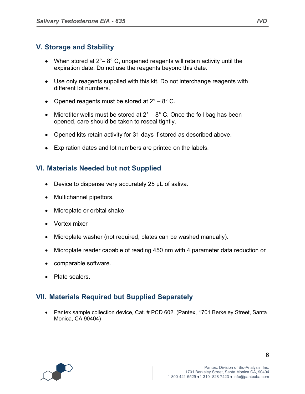# **V. Storage and Stability**

- When stored at  $2^\circ 8^\circ$  C, unopened reagents will retain activity until the expiration date. Do not use the reagents beyond this date.
- Use only reagents supplied with this kit. Do not interchange reagents with different lot numbers.
- Opened reagents must be stored at  $2^{\circ} 8^{\circ}$  C.
- Microtiter wells must be stored at  $2^\circ 8^\circ$  C. Once the foil bag has been opened, care should be taken to reseal tightly.
- Opened kits retain activity for 31 days if stored as described above.
- Expiration dates and lot numbers are printed on the labels.

# **VI. Materials Needed but not Supplied**

- Device to dispense very accurately 25 µL of saliva.
- Multichannel pipettors.
- Microplate or orbital shake
- Vortex mixer
- Microplate washer (not required, plates can be washed manually).
- Microplate reader capable of reading 450 nm with 4 parameter data reduction or
- comparable software.
- Plate sealers.

# **VII. Materials Required but Supplied Separately**

• Pantex sample collection device, Cat. # PCD 602. (Pantex, 1701 Berkeley Street, Santa Monica, CA 90404)

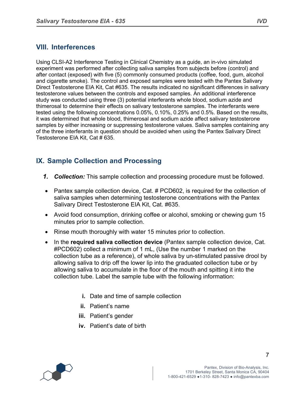# **VIII. Interferences**

Using CLSI-A2 Interference Testing in Clinical Chemistry as a guide, an in-vivo simulated experiment was performed after collecting saliva samples from subjects before (control) and after contact (exposed) with five (5) commonly consumed products (coffee, food, gum, alcohol and cigarette smoke). The control and exposed samples were tested with the Pantex Salivary Direct Testosterone EIA Kit, Cat #635. The results indicated no significant differences in salivary testosterone values between the controls and exposed samples. An additional interference study was conducted using three (3) potential interferants whole blood, sodium azide and thimerosal to determine their effects on salivary testosterone samples. The interferants were tested using the following concentrations 0.05%, 0.10%, 0.25% and 0.5%. Based on the results, it was determined that whole blood, thimerosal and sodium azide affect salivary testosterone samples by either increasing or suppressing testosterone values. Saliva samples containing any of the three interferants in question should be avoided when using the Pantex Salivary Direct Testosterone EIA Kit, Cat # 635.

# **IX. Sample Collection and Processing**

- *1. Collection:* This sample collection and processing procedure must be followed.
- Pantex sample collection device, Cat. # PCD602, is required for the collection of saliva samples when determining testosterone concentrations with the Pantex Salivary Direct Testosterone EIA Kit, Cat. #635.
- Avoid food consumption, drinking coffee or alcohol, smoking or chewing gum 15 minutes prior to sample collection.
- Rinse mouth thoroughly with water 15 minutes prior to collection.
- In the **required saliva collection device** (Pantex sample collection device, Cat. #PCD602) collect a minimum of 1 mL, (Use the number 1 marked on the collection tube as a reference), of whole saliva by un-stimulated passive drool by allowing saliva to drip off the lower lip into the graduated collection tube or by allowing saliva to accumulate in the floor of the mouth and spitting it into the collection tube. Label the sample tube with the following information:
	- **i.** Date and time of sample collection
	- **ii.** Patient's name
	- **iii.** Patient's gender
	- **iv.** Patient's date of birth

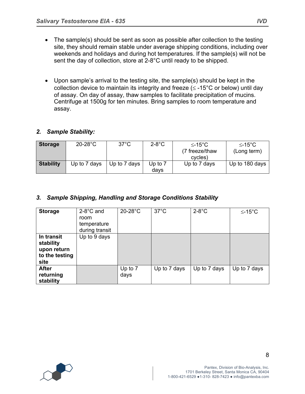- The sample(s) should be sent as soon as possible after collection to the testing site, they should remain stable under average shipping conditions, including over weekends and holidays and during hot temperatures. If the sample(s) will not be sent the day of collection, store at 2-8°C until ready to be shipped.
- Upon sample's arrival to the testing site, the sample(s) should be kept in the collection device to maintain its integrity and freeze ( $\leq$  -15°C or below) until day of assay. On day of assay, thaw samples to facilitate precipitation of mucins. Centrifuge at 1500g for ten minutes. Bring samples to room temperature and assay.

### *2. Sample Stability:*

| <b>Storage</b>   | $20-28$ °C   | $37^{\circ}$ C | $2-8$ °C  | $\leq$ -15°C   | $≤-15^{\circ}C$ |
|------------------|--------------|----------------|-----------|----------------|-----------------|
|                  |              |                |           | (7 freeze/thaw | (Long term)     |
|                  |              |                |           | cycles)        |                 |
| <b>Stability</b> | Up to 7 days | Up to 7 days   | Up to $7$ | Up to 7 days   | Up to 180 days  |
|                  |              |                | davs      |                |                 |

### *3. Sample Shipping, Handling and Storage Conditions Stability*

| <b>Storage</b>                                                   | $2-8$ °C and<br>room<br>temperature<br>during transit | $20-28$ °C        | $37^{\circ}$ C | $2-8$ °C     | $≤-15°C$     |
|------------------------------------------------------------------|-------------------------------------------------------|-------------------|----------------|--------------|--------------|
| In transit<br>stability<br>upon return<br>to the testing<br>site | Up to 9 days                                          |                   |                |              |              |
| <b>After</b><br>returning<br>stability                           |                                                       | Up to $7$<br>days | Up to 7 days   | Up to 7 days | Up to 7 days |

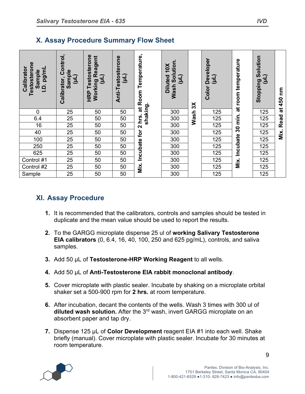### **X. Assay Procedure Summary Flow Sheet**

| Testosterone<br>Calibrato<br>l.D. pg/ml<br>Sample | Control,<br>Sample<br>빌<br>Calibrator, | Testosterone<br><b>Working Reagent</b><br>(i)<br>HRP | Anti-Testosterone<br>(L) | Room Temperature, | Wash Solution<br>10X<br>$\overline{L}$<br><b>Diluted</b> | $\aleph$ | Developer<br>(JE)<br>Color | room temperature  | Solution<br>(Tri)<br><b>Stopping</b> | ξ<br>450  |
|---------------------------------------------------|----------------------------------------|------------------------------------------------------|--------------------------|-------------------|----------------------------------------------------------|----------|----------------------------|-------------------|--------------------------------------|-----------|
| 0                                                 | 25                                     | 50                                                   | 50                       | shaking.<br>ಕ     | 300                                                      |          | 125                        | $\vec{a}$         | 125                                  | $\vec{a}$ |
| 6.4                                               | 25                                     | 50                                                   | 50                       | e<br>hrs          | 300                                                      | Wash     | 125                        | min.              | 125                                  | Read      |
| 16                                                | 25                                     | 50                                                   | 50                       | $\mathbf{\Omega}$ | 300                                                      |          | 125                        |                   | 125                                  |           |
| 40                                                | 25                                     | 50                                                   | 50                       | for               | 300                                                      |          | 125                        | $\boldsymbol{50}$ | 125                                  | Mix.      |
| 100                                               | 25                                     | 50                                                   | 50                       |                   | 300                                                      |          | 125                        | Incubate          | 125                                  |           |
| 250                                               | 25                                     | 50                                                   | 50                       |                   | 300                                                      |          | 125                        |                   | 125                                  |           |
| 625                                               | 25                                     | 50                                                   | 50                       | Incubate          | 300                                                      |          | 125                        |                   | 125                                  |           |
| Control #1                                        | 25                                     | 50                                                   | 50                       |                   | 300                                                      |          | 125                        | Mix.              | 125                                  |           |
| Control #2                                        | 25                                     | 50                                                   | 50                       | Mix.              | 300                                                      |          | 125                        |                   | 125                                  |           |
| Sample                                            | 25                                     | 50                                                   | 50                       |                   | 300                                                      |          | 125                        |                   | 125                                  |           |

# **XI. Assay Procedure**

- **1.** It is recommended that the calibrators, controls and samples should be tested in duplicate and the mean value should be used to report the results.
- **2.** To the GARGG microplate dispense 25 ul of **working Salivary Testosterone EIA calibrators** (0, 6.4, 16, 40, 100, 250 and 625 pg/mL), controls, and saliva samples.
- **3.** Add 50 µL of **Testosterone-HRP Working Reagent** to all wells.
- **4.** Add 50 µL of **Anti-Testosterone EIA rabbit monoclonal antibody**.
- **5.** Cover microplate with plastic sealer. Incubate by shaking on a microplate orbital shaker set a 500-900 rpm for **2 hrs.** at room temperature.
- **6.** After incubation, decant the contents of the wells. Wash 3 times with 300 ul of **diluted wash solution.** After the 3rd wash, invert GARGG microplate on an absorbent paper and tap dry.
- **7.** Dispense 125 µL of **Color Development** reagent EIA #1 into each well. Shake briefly (manual). Cover microplate with plastic sealer. Incubate for 30 minutes at room temperature.

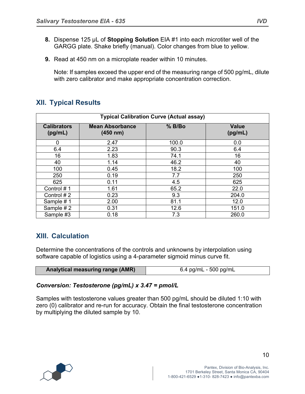- **8.** Dispense 125 µL of **Stopping Solution** EIA #1 into each microtiter well of the GARGG plate. Shake briefly (manual). Color changes from blue to yellow.
- **9.** Read at 450 nm on a microplate reader within 10 minutes.

Note: If samples exceed the upper end of the measuring range of 500 pg/mL, dilute with zero calibrator and make appropriate concentration correction.

# **XII. Typical Results**

| <b>Typical Calibration Curve (Actual assay)</b> |                                    |        |                         |  |
|-------------------------------------------------|------------------------------------|--------|-------------------------|--|
| <b>Calibrators</b><br>(pg/mL)                   | <b>Mean Absorbance</b><br>(450 nm) | % B/Bo | <b>Value</b><br>(pg/mL) |  |
| 0                                               | 2.47                               | 100.0  | 0.0                     |  |
| 6.4                                             | 2.23                               | 90.3   | 6.4                     |  |
| 16                                              | 1.83                               | 74.1   | 16                      |  |
| 40                                              | 1.14                               | 46.2   | 40                      |  |
| 100                                             | 0.45                               | 18.2   | 100                     |  |
| 250                                             | 0.19                               | 7.7    | 250                     |  |
| 625                                             | 0.11                               | 4.5    | 625                     |  |
| Control #1                                      | 1.61                               | 65.2   | 22.0                    |  |
| Control #2                                      | 0.23                               | 9.3    | 204.0                   |  |
| Sample #1                                       | 2.00                               | 81.1   | 12.0                    |  |
| Sample #2                                       | 0.31                               | 12.6   | 151.0                   |  |
| Sample #3                                       | 0.18                               | 7.3    | 260.0                   |  |

# **XIII. Calculation**

Determine the concentrations of the controls and unknowns by interpolation using software capable of logistics using a 4-parameter sigmoid minus curve fit.

| <b>Analytical measuring range (AMR)</b> | 6.4 pg/mL - 500 pg/mL |
|-----------------------------------------|-----------------------|
|                                         |                       |

#### *Conversion: Testosterone (pg/mL) x 3.47 = pmol/L*

Samples with testosterone values greater than 500 pg/mL should be diluted 1:10 with zero (0) calibrator and re-run for accuracy. Obtain the final testosterone concentration by multiplying the diluted sample by 10.

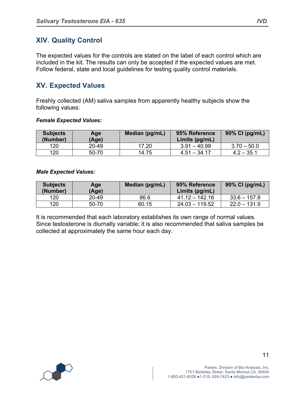# **XIV. Quality Control**

The expected values for the controls are stated on the label of each control which are included in the kit. The results can only be accepted if the expected values are met. Follow federal, state and local guidelines for testing quality control materials.

### **XV. Expected Values**

Freshly collected (AM) saliva samples from apparently healthy subjects show the following values:

#### *Female Expected Values:*

| <b>Subjects</b><br>(Number) | Age<br>(Age) | Median (pg/mL) | 95% Reference<br>Limits (pg/mL) | 90% CI (pg/mL) |
|-----------------------------|--------------|----------------|---------------------------------|----------------|
| 120                         | 20-49        | 17.20          | $3.91 - 40.99$                  | $3.70 - 50.0$  |
| 120                         | 50-70        | 14.75          | $4.51 - 34.17$                  | $4.2 - 35.1$   |

#### *Male Expected Values:*

| <b>Subjects</b><br>(Number) | Age<br>(Age) | Median (pg/mL) | 95% Reference<br>Limits $(pq/mL)$ | 90% CI (pg/mL) |
|-----------------------------|--------------|----------------|-----------------------------------|----------------|
| 120                         | 20-49        | 86.6           | $41.12 - 142.16$                  | $33.6 - 157.9$ |
| 120                         | 50-70        | 60.15          | $24.03 - 119.52$                  | $22.0 - 131.9$ |

It is recommended that each laboratory establishes its own range of normal values. Since testosterone is diurnally variable; it is also recommended that saliva samples be collected at approximately the same hour each day.

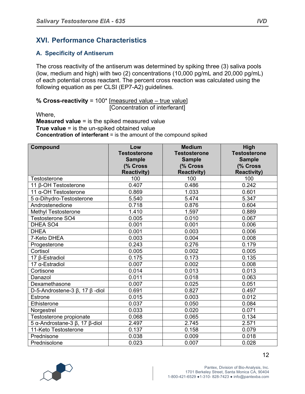# **XVI. Performance Characteristics**

### **A. Specificity of Antiserum**

The cross reactivity of the antiserum was determined by spiking three (3) saliva pools (low, medium and high) with two (2) concentrations (10,000 pg/mL and 20,000 pg/mL) of each potential cross reactant. The percent cross reaction was calculated using the following equation as per CLSI (EP7-A2) guidelines.

**% Cross-reactivity** = 100\* [measured value – true value] [Concentration of interferant]

Where,

**Measured value** = is the spiked measured value **True value** = is the un-spiked obtained value **Concentration of interferant** = is the amount of the compound spiked

| Compound                                    | Low                 | <b>Medium</b>       | High                |
|---------------------------------------------|---------------------|---------------------|---------------------|
|                                             | <b>Testosterone</b> | <b>Testosterone</b> | <b>Testosterone</b> |
|                                             | <b>Sample</b>       | <b>Sample</b>       | <b>Sample</b>       |
|                                             | (% Cross            | (% Cross            | (% Cross            |
|                                             | <b>Reactivity)</b>  | <b>Reactivity)</b>  | <b>Reactivity)</b>  |
| Testosterone                                | 100                 | 100                 | 100                 |
| 11 β-OH Testosterone                        | 0.407               | 0.486               | 0.242               |
| $\overline{11}$ $\alpha$ -OH Testosterone   | 0.869               | 1.033               | 0.601               |
| 5 α-Dihydro-Testosterone                    | 5.540               | 5.474               | 5.347               |
| Androstenedione                             | 0.718               | 0.876               | 0.604               |
| <b>Methyl Testosterone</b>                  | 1.410               | 1.597               | 0.889               |
| <b>Testosterone SO4</b>                     | 0.005               | 0.010               | 0.067               |
| DHEA SO4                                    | 0.001               | 0.001               | 0.006               |
| <b>DHEA</b>                                 | 0.001               | 0.003               | 0.006               |
| 7-Keto DHEA                                 | 0.003               | 0.004               | 0.008               |
| Progesterone                                | 0.243               | 0.276               | 0.179               |
| Cortisol                                    | 0.005               | 0.002               | 0.005               |
| 17 β-Estradiol                              | 0.175               | 0.173               | 0.135               |
| 17 $\alpha$ -Estradiol                      | 0.007               | 0.002               | 0.008               |
| Cortisone                                   | 0.014               | 0.013               | 0.013               |
| Danazol                                     | 0.011               | 0.018               | 0.063               |
| Dexamethasone                               | 0.007               | 0.025               | 0.051               |
| D-5-Androstene-3 $\beta$ , 17 $\beta$ -diol | 0.691               | 0.827               | 0.497               |
| Estrone                                     | 0.015               | 0.003               | 0.012               |
| Ethisterone                                 | 0.037               | 0.050               | 0.084               |
| Norgestrel                                  | 0.033               | 0.020               | 0.071               |
| Testosterone propionate                     | 0.068               | 0.065               | 0.134               |
| 5 α-Androstane-3 $\beta$ , 17 $\beta$ -diol | 2.497               | 2.745               | 2.571               |
| 11-Keto Testosterone                        | 0.137               | 0.158               | 0.079               |
| Prednisone                                  | 0.038               | 0.009               | 0.018               |
| Prednisolone                                | 0.023               | 0.007               | 0.028               |

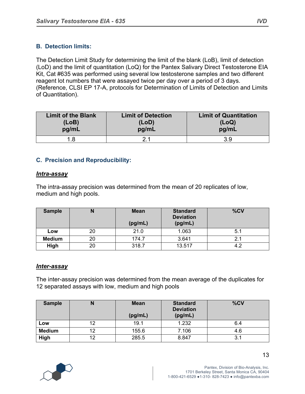### **B. Detection limits:**

The Detection Limit Study for determining the limit of the blank (LoB), limit of detection (LoD) and the limit of quantitation (LoQ) for the Pantex Salivary Direct Testosterone EIA Kit, Cat #635 was performed using several low testosterone samples and two different reagent lot numbers that were assayed twice per day over a period of 3 days. (Reference, CLSI EP 17-A, protocols for Determination of Limits of Detection and Limits of Quantitation).

| <b>Limit of the Blank</b> | <b>Limit of Detection</b> | <b>Limit of Quantitation</b> |
|---------------------------|---------------------------|------------------------------|
| (LoB)                     | (LOD)                     | (LoQ)                        |
| pg/mL                     | pg/mL                     | pg/mL                        |
|                           |                           | 3.9                          |

### **C. Precision and Reproducibility:**

#### *Intra-assay*

The intra-assay precision was determined from the mean of 20 replicates of low, medium and high pools.

| <b>Sample</b> |    | <b>Mean</b><br>(pg/mL) | <b>Standard</b><br><b>Deviation</b><br>(pg/mL) | %CV |
|---------------|----|------------------------|------------------------------------------------|-----|
| Low           | 20 | 21.0                   | 1.063                                          | 5.1 |
| <b>Medium</b> | 20 | 174.7                  | 3.641                                          | 2.1 |
| High          | 20 | 318.7                  | 13.517                                         | 4.2 |

#### *Inter-assay*

The inter-assay precision was determined from the mean average of the duplicates for 12 separated assays with low, medium and high pools

| <b>Sample</b> |    | <b>Mean</b><br>(pg/mL) | <b>Standard</b><br><b>Deviation</b><br>(pg/mL) | %CV |
|---------------|----|------------------------|------------------------------------------------|-----|
| Low           | 12 | 19.1                   | 1.232                                          | 6.4 |
| <b>Medium</b> | 12 | 155.6                  | 7.106                                          | 4.6 |
| High          | 12 | 285.5                  | 8.847                                          | 3.1 |

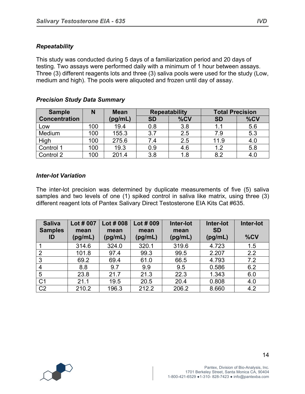### *Repeatability*

This study was conducted during 5 days of a familiarization period and 20 days of testing. Two assays were performed daily with a minimum of 1 hour between assays. Three (3) different reagents lots and three (3) saliva pools were used for the study (Low, medium and high). The pools were aliquoted and frozen until day of assay.

| <b>Sample</b>        | N   | <b>Mean</b> | <b>Repeatability</b> |     | <b>Total Precision</b> |     |
|----------------------|-----|-------------|----------------------|-----|------------------------|-----|
| <b>Concentration</b> |     | (pg/mL)     | <b>SD</b>            | %CV | <b>SD</b>              | %CV |
| Low                  | 100 | 19.4        | 0.8                  | 3.8 | 1.1                    | 5.6 |
| <b>Medium</b>        | 100 | 155.3       | 3.7                  | 2.5 | 7.9                    | 5.3 |
| High                 | 100 | 275.6       | 7.4                  | 2.5 | 11.9                   | 4.0 |
| Control 1            | 100 | 19.3        | 0.9                  | 4.6 | 1.2                    | 5.8 |
| Control 2            | 100 | 201.4       | 3.8                  | 1.8 | 8.2                    | 4.0 |

### *Precision Study Data Summary*

### *Inter-lot Variation*

The inter-lot precision was determined by duplicate measurements of five (5) saliva samples and two levels of one (1) spiked control in saliva like matrix, using three (3) different reagent lots of Pantex Salivary Direct Testosterone EIA Kits Cat #635.

| <b>Saliva</b><br><b>Samples</b><br>ID | Lot # 007<br>mean<br>(pg/mL) | Lot # 008<br>mean<br>(pg/mL) | Lot # 009<br>mean<br>(pg/mL) | Inter-lot<br>mean<br>(pg/mL) | Inter-lot<br><b>SD</b><br>(pg/mL) | Inter-lot<br>%CV |
|---------------------------------------|------------------------------|------------------------------|------------------------------|------------------------------|-----------------------------------|------------------|
|                                       | 314.6                        | 324.0                        | 320.1                        | 319.6                        | 4.723                             | 1.5              |
| $\overline{2}$                        | 101.8                        | 97.4                         | 99.3                         | 99.5                         | 2.207                             | 2.2              |
| 3                                     | 69.2                         | 69.4                         | 61.0                         | 66.5                         | 4.793                             | 7.2              |
| 4                                     | 8.8                          | 9.7                          | 9.9                          | 9.5                          | 0.586                             | 6.2              |
| 5                                     | 23.8                         | 21.7                         | 21.3                         | 22.3                         | 1.343                             | 6.0              |
| C <sub>1</sub>                        | 21.1                         | 19.5                         | 20.5                         | 20.4                         | 0.808                             | 4.0              |
| C <sub>2</sub>                        | 210.2                        | 196.3                        | 212.2                        | 206.2                        | 8.660                             | 4.2              |

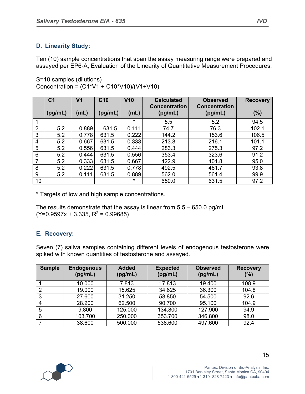### **D. Linearity Study:**

Ten (10) sample concentrations that span the assay measuring range were prepared and assayed per EP6-A, Evaluation of the Linearity of Quantitative Measurement Procedures.

S=10 samples (dilutions) Concentration = (C1\*V1 + C10\*V10)/(V1+V10)

|                 | C <sub>1</sub> | V <sub>1</sub> | C <sub>10</sub> | V10     | <b>Calculated</b><br><b>Concentration</b> | <b>Observed</b><br><b>Concentration</b> | <b>Recovery</b> |
|-----------------|----------------|----------------|-----------------|---------|-------------------------------------------|-----------------------------------------|-----------------|
|                 | (pg/mL)        | (mL)           | (pg/mL)         | (mL)    | (pg/mL)                                   | (pg/mL)                                 | (%)             |
|                 |                |                |                 | $\star$ | 5.5                                       | 5.2                                     | 94.5            |
| $\overline{2}$  | 5.2            | 0.889          | 631.5           | 0.111   | 74.7                                      | 76.3                                    | 102.1           |
| 3               | 5.2            | 0.778          | 631.5           | 0.222   | 144.2                                     | 153.6                                   | 106.5           |
| 4               | 5.2            | 0.667          | 631.5           | 0.333   | 213.8                                     | 216.1                                   | 101.1           |
| 5               | 5.2            | 0.556          | 631.5           | 0.444   | 283.3                                     | 275.3                                   | 97.2            |
| 6               | 5.2            | 0.444          | 631.5           | 0.556   | 353.4                                     | 323.6                                   | 91.2            |
| 7               | 5.2            | 0.333          | 631.5           | 0.667   | 422.9                                     | 401.8                                   | 95.0            |
| 8               | 5.2            | 0.222          | 631.5           | 0.778   | 492.5                                     | 461.7                                   | 93.8            |
| 9               | 5.2            | 0.111          | 631.5           | 0.889   | 562.0                                     | 561.4                                   | 99.9            |
| 10 <sup>1</sup> |                |                |                 | $\star$ | 650.0                                     | 631.5                                   | 97.2            |

\* Targets of low and high sample concentrations.

The results demonstrate that the assay is linear from 5.5 – 650.0 pg/mL.  $(Y=0.9597x + 3.335, R^2 = 0.99685)$ 

### **E. Recovery:**

Seven (7) saliva samples containing different levels of endogenous testosterone were spiked with known quantities of testosterone and assayed.

| <b>Sample</b> | <b>Endogenous</b><br>(pg/mL) | <b>Added</b><br>(pg/mL) | <b>Expected</b><br>(pg/mL) | <b>Observed</b><br>(pg/mL) | <b>Recovery</b><br>(%) |
|---------------|------------------------------|-------------------------|----------------------------|----------------------------|------------------------|
|               | 10.000                       | 7.813                   | 17.813                     | 19.400                     | 108.9                  |
| 2             | 19.000                       | 15.625                  | 34.625                     | 36.300                     | 104.8                  |
| 3             | 27.600                       | 31.250                  | 58.850                     | 54.500                     | 92.6                   |
| 4             | 28.200                       | 62.500                  | 90.700                     | 95.100                     | 104.9                  |
| 5             | 9.800                        | 125.000                 | 134.800                    | 127.900                    | 94.9                   |
| 6             | 103.700                      | 250.000                 | 353.700                    | 346.800                    | 98.0                   |
|               | 38.600                       | 500.000                 | 538.600                    | 497.600                    | 92.4                   |

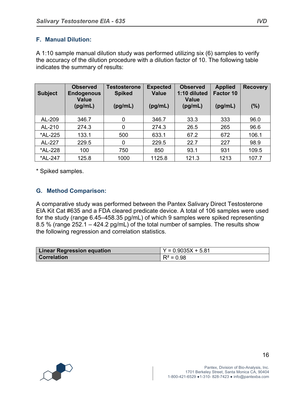### **F. Manual Dilution:**

A 1:10 sample manual dilution study was performed utilizing six (6) samples to verify the accuracy of the dilution procedure with a dilution factor of 10. The following table indicates the summary of results:

| <b>Subject</b> | <b>Observed</b><br><b>Endogenous</b><br><b>Value</b><br>(pg/mL) | <b>Testosterone</b><br><b>Spiked</b><br>(pg/mL) | <b>Expected</b><br><b>Value</b><br>(pg/mL) | <b>Observed</b><br>1:10 diluted<br><b>Value</b><br>(pg/mL) | <b>Applied</b><br>Factor 10<br>(pg/mL) | <b>Recovery</b><br>(%) |
|----------------|-----------------------------------------------------------------|-------------------------------------------------|--------------------------------------------|------------------------------------------------------------|----------------------------------------|------------------------|
| AL-209         | 346.7                                                           | 0                                               | 346.7                                      | 33.3                                                       | 333                                    | 96.0                   |
| AL-210         | 274.3                                                           | 0                                               | 274.3                                      | 26.5                                                       | 265                                    | 96.6                   |
| *AL-225        | 133.1                                                           | 500                                             | 633.1                                      | 67.2                                                       | 672                                    | 106.1                  |
| AL-227         | 229.5                                                           | 0                                               | 229.5                                      | 22.7                                                       | 227                                    | 98.9                   |
| *AL-228        | 100                                                             | 750                                             | 850                                        | 93.1                                                       | 931                                    | 109.5                  |
| *AL-247        | 125.8                                                           | 1000                                            | 1125.8                                     | 121.3                                                      | 1213                                   | 107.7                  |

\* Spiked samples.

### **G. Method Comparison:**

A comparative study was performed between the Pantex Salivary Direct Testosterone EIA Kit Cat #635 and a FDA cleared predicate device. A total of 106 samples were used for the study (range 6.45–458.35 pg/mL) of which 9 samples were spiked representing 8.5 % (range 252.1 – 424.2 pg/mL) of the total number of samples. The results show the following regression and correlation statistics.

| <b>Linear Regression equation</b> | $Y = 0.9035X + 5.81$ |
|-----------------------------------|----------------------|
| ∣ Correlation                     | $R^2 = 0.98$         |

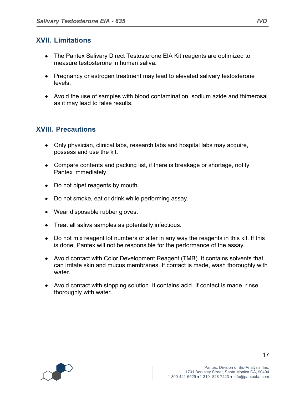# **XVII. Limitations**

- The Pantex Salivary Direct Testosterone EIA Kit reagents are optimized to measure testosterone in human saliva.
- Pregnancy or estrogen treatment may lead to elevated salivary testosterone levels.
- Avoid the use of samples with blood contamination, sodium azide and thimerosal as it may lead to false results.

# **XVIII. Precautions**

- Only physician, clinical labs, research labs and hospital labs may acquire, possess and use the kit.
- Compare contents and packing list, if there is breakage or shortage, notify Pantex immediately.
- Do not pipet reagents by mouth.
- Do not smoke, eat or drink while performing assay.
- Wear disposable rubber gloves.
- Treat all saliva samples as potentially infectious.
- Do not mix reagent lot numbers or alter in any way the reagents in this kit. If this is done, Pantex will not be responsible for the performance of the assay.
- Avoid contact with Color Development Reagent (TMB). It contains solvents that can irritate skin and mucus membranes. If contact is made, wash thoroughly with water.
- Avoid contact with stopping solution. It contains acid. If contact is made, rinse thoroughly with water.